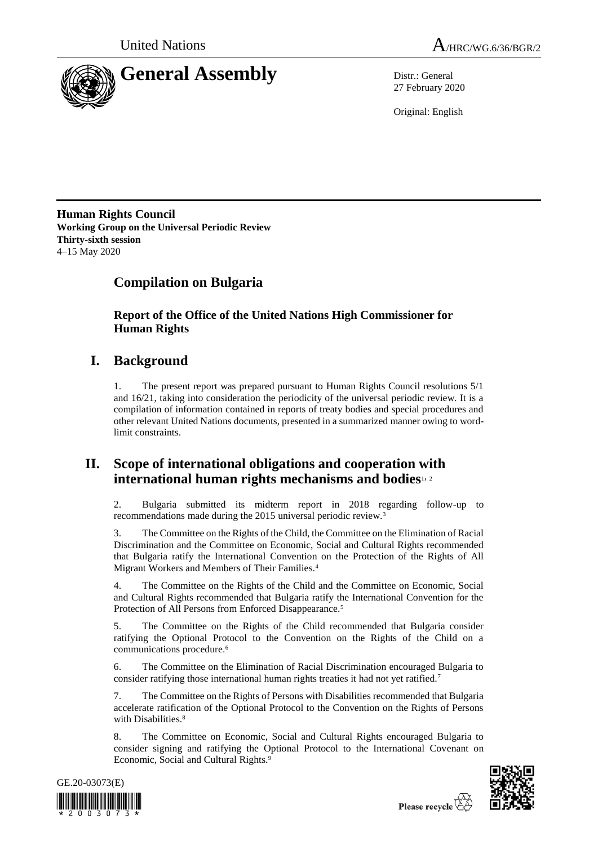



27 February 2020

Original: English

**Human Rights Council Working Group on the Universal Periodic Review Thirty-sixth session** 4–15 May 2020

# **Compilation on Bulgaria**

**Report of the Office of the United Nations High Commissioner for Human Rights**

# **I. Background**

1. The present report was prepared pursuant to Human Rights Council resolutions 5/1 and 16/21, taking into consideration the periodicity of the universal periodic review. It is a compilation of information contained in reports of treaty bodies and special procedures and other relevant United Nations documents, presented in a summarized manner owing to wordlimit constraints.

## **II. Scope of international obligations and cooperation with international human rights mechanisms and bodies**1, <sup>2</sup>

2. Bulgaria submitted its midterm report in 2018 regarding follow-up to recommendations made during the 2015 universal periodic review.<sup>3</sup>

3. The Committee on the Rights of the Child, the Committee on the Elimination of Racial Discrimination and the Committee on Economic, Social and Cultural Rights recommended that Bulgaria ratify the International Convention on the Protection of the Rights of All Migrant Workers and Members of Their Families.<sup>4</sup>

4. The Committee on the Rights of the Child and the Committee on Economic, Social and Cultural Rights recommended that Bulgaria ratify the International Convention for the Protection of All Persons from Enforced Disappearance.<sup>5</sup>

5. The Committee on the Rights of the Child recommended that Bulgaria consider ratifying the Optional Protocol to the Convention on the Rights of the Child on a communications procedure.<sup>6</sup>

6. The Committee on the Elimination of Racial Discrimination encouraged Bulgaria to consider ratifying those international human rights treaties it had not yet ratified.<sup>7</sup>

7. The Committee on the Rights of Persons with Disabilities recommended that Bulgaria accelerate ratification of the Optional Protocol to the Convention on the Rights of Persons with Disabilities.<sup>8</sup>

8. The Committee on Economic, Social and Cultural Rights encouraged Bulgaria to consider signing and ratifying the Optional Protocol to the International Covenant on Economic, Social and Cultural Rights.<sup>9</sup>



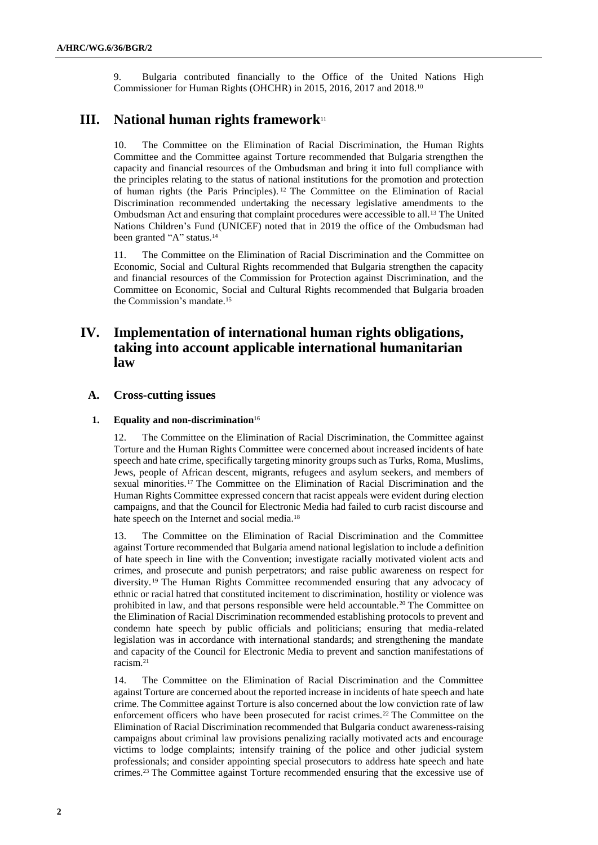9. Bulgaria contributed financially to the Office of the United Nations High Commissioner for Human Rights (OHCHR) in 2015, 2016, 2017 and 2018.<sup>10</sup>

## **III. National human rights framework**<sup>11</sup>

10. The Committee on the Elimination of Racial Discrimination, the Human Rights Committee and the Committee against Torture recommended that Bulgaria strengthen the capacity and financial resources of the Ombudsman and bring it into full compliance with the principles relating to the status of national institutions for the promotion and protection of human rights (the Paris Principles). <sup>12</sup> The Committee on the Elimination of Racial Discrimination recommended undertaking the necessary legislative amendments to the Ombudsman Act and ensuring that complaint procedures were accessible to all.<sup>13</sup> The United Nations Children's Fund (UNICEF) noted that in 2019 the office of the Ombudsman had been granted "A" status.<sup>14</sup>

11. The Committee on the Elimination of Racial Discrimination and the Committee on Economic, Social and Cultural Rights recommended that Bulgaria strengthen the capacity and financial resources of the Commission for Protection against Discrimination, and the Committee on Economic, Social and Cultural Rights recommended that Bulgaria broaden the Commission's mandate.<sup>15</sup>

## **IV. Implementation of international human rights obligations, taking into account applicable international humanitarian law**

## **A. Cross-cutting issues**

## **1. Equality and non-discrimination**<sup>16</sup>

12. The Committee on the Elimination of Racial Discrimination, the Committee against Torture and the Human Rights Committee were concerned about increased incidents of hate speech and hate crime, specifically targeting minority groups such as Turks, Roma, Muslims, Jews, people of African descent, migrants, refugees and asylum seekers, and members of sexual minorities.<sup>17</sup> The Committee on the Elimination of Racial Discrimination and the Human Rights Committee expressed concern that racist appeals were evident during election campaigns, and that the Council for Electronic Media had failed to curb racist discourse and hate speech on the Internet and social media.<sup>18</sup>

13. The Committee on the Elimination of Racial Discrimination and the Committee against Torture recommended that Bulgaria amend national legislation to include a definition of hate speech in line with the Convention; investigate racially motivated violent acts and crimes, and prosecute and punish perpetrators; and raise public awareness on respect for diversity. <sup>19</sup> The Human Rights Committee recommended ensuring that any advocacy of ethnic or racial hatred that constituted incitement to discrimination, hostility or violence was prohibited in law, and that persons responsible were held accountable.<sup>20</sup> The Committee on the Elimination of Racial Discrimination recommended establishing protocols to prevent and condemn hate speech by public officials and politicians; ensuring that media-related legislation was in accordance with international standards; and strengthening the mandate and capacity of the Council for Electronic Media to prevent and sanction manifestations of racism.<sup>21</sup>

14. The Committee on the Elimination of Racial Discrimination and the Committee against Torture are concerned about the reported increase in incidents of hate speech and hate crime. The Committee against Torture is also concerned about the low conviction rate of law enforcement officers who have been prosecuted for racist crimes.<sup>22</sup> The Committee on the Elimination of Racial Discrimination recommended that Bulgaria conduct awareness-raising campaigns about criminal law provisions penalizing racially motivated acts and encourage victims to lodge complaints; intensify training of the police and other judicial system professionals; and consider appointing special prosecutors to address hate speech and hate crimes.<sup>23</sup> The Committee against Torture recommended ensuring that the excessive use of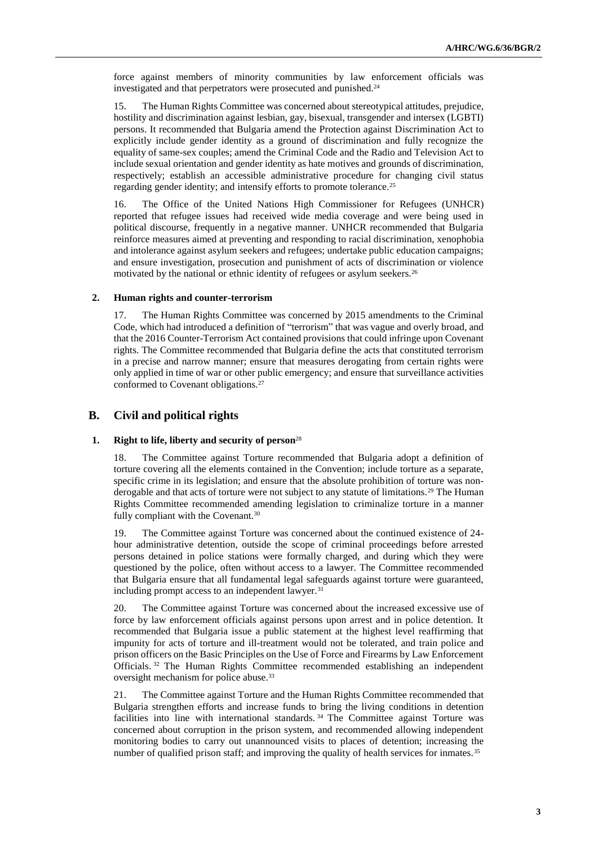force against members of minority communities by law enforcement officials was investigated and that perpetrators were prosecuted and punished.<sup>24</sup>

15. The Human Rights Committee was concerned about stereotypical attitudes, prejudice, hostility and discrimination against lesbian, gay, bisexual, transgender and intersex (LGBTI) persons. It recommended that Bulgaria amend the Protection against Discrimination Act to explicitly include gender identity as a ground of discrimination and fully recognize the equality of same-sex couples; amend the Criminal Code and the Radio and Television Act to include sexual orientation and gender identity as hate motives and grounds of discrimination, respectively; establish an accessible administrative procedure for changing civil status regarding gender identity; and intensify efforts to promote tolerance.<sup>25</sup>

16. The Office of the United Nations High Commissioner for Refugees (UNHCR) reported that refugee issues had received wide media coverage and were being used in political discourse, frequently in a negative manner. UNHCR recommended that Bulgaria reinforce measures aimed at preventing and responding to racial discrimination, xenophobia and intolerance against asylum seekers and refugees; undertake public education campaigns; and ensure investigation, prosecution and punishment of acts of discrimination or violence motivated by the national or ethnic identity of refugees or asylum seekers.<sup>26</sup>

#### **2. Human rights and counter-terrorism**

17. The Human Rights Committee was concerned by 2015 amendments to the Criminal Code, which had introduced a definition of "terrorism" that was vague and overly broad, and that the 2016 Counter-Terrorism Act contained provisions that could infringe upon Covenant rights. The Committee recommended that Bulgaria define the acts that constituted terrorism in a precise and narrow manner; ensure that measures derogating from certain rights were only applied in time of war or other public emergency; and ensure that surveillance activities conformed to Covenant obligations.<sup>27</sup>

## **B. Civil and political rights**

#### **1. Right to life, liberty and security of person**<sup>28</sup>

18. The Committee against Torture recommended that Bulgaria adopt a definition of torture covering all the elements contained in the Convention; include torture as a separate, specific crime in its legislation; and ensure that the absolute prohibition of torture was nonderogable and that acts of torture were not subject to any statute of limitations.<sup>29</sup> The Human Rights Committee recommended amending legislation to criminalize torture in a manner fully compliant with the Covenant.<sup>30</sup>

19. The Committee against Torture was concerned about the continued existence of 24 hour administrative detention, outside the scope of criminal proceedings before arrested persons detained in police stations were formally charged, and during which they were questioned by the police, often without access to a lawyer. The Committee recommended that Bulgaria ensure that all fundamental legal safeguards against torture were guaranteed, including prompt access to an independent lawyer.<sup>31</sup>

20. The Committee against Torture was concerned about the increased excessive use of force by law enforcement officials against persons upon arrest and in police detention. It recommended that Bulgaria issue a public statement at the highest level reaffirming that impunity for acts of torture and ill-treatment would not be tolerated, and train police and prison officers on the Basic Principles on the Use of Force and Firearms by Law Enforcement Officials. <sup>32</sup> The Human Rights Committee recommended establishing an independent oversight mechanism for police abuse.<sup>33</sup>

21. The Committee against Torture and the Human Rights Committee recommended that Bulgaria strengthen efforts and increase funds to bring the living conditions in detention facilities into line with international standards.<sup>34</sup> The Committee against Torture was concerned about corruption in the prison system, and recommended allowing independent monitoring bodies to carry out unannounced visits to places of detention; increasing the number of qualified prison staff; and improving the quality of health services for inmates.<sup>35</sup>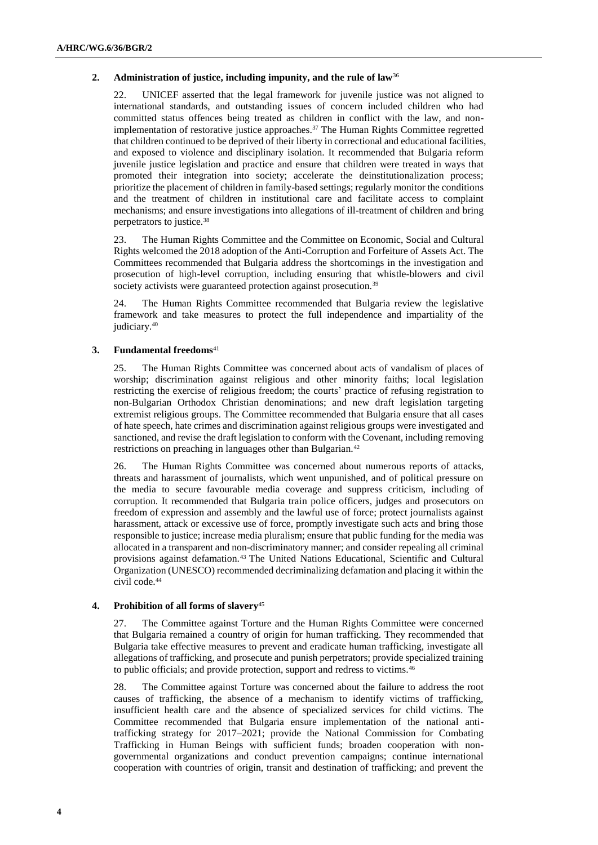## **2. Administration of justice, including impunity, and the rule of law**<sup>36</sup>

22. UNICEF asserted that the legal framework for juvenile justice was not aligned to international standards, and outstanding issues of concern included children who had committed status offences being treated as children in conflict with the law, and nonimplementation of restorative justice approaches.<sup>37</sup> The Human Rights Committee regretted that children continued to be deprived of their liberty in correctional and educational facilities, and exposed to violence and disciplinary isolation. It recommended that Bulgaria reform juvenile justice legislation and practice and ensure that children were treated in ways that promoted their integration into society; accelerate the deinstitutionalization process; prioritize the placement of children in family-based settings; regularly monitor the conditions and the treatment of children in institutional care and facilitate access to complaint mechanisms; and ensure investigations into allegations of ill-treatment of children and bring perpetrators to justice.<sup>38</sup>

23. The Human Rights Committee and the Committee on Economic, Social and Cultural Rights welcomed the 2018 adoption of the Anti-Corruption and Forfeiture of Assets Act. The Committees recommended that Bulgaria address the shortcomings in the investigation and prosecution of high-level corruption, including ensuring that whistle-blowers and civil society activists were guaranteed protection against prosecution.<sup>39</sup>

24. The Human Rights Committee recommended that Bulgaria review the legislative framework and take measures to protect the full independence and impartiality of the judiciary.<sup>40</sup>

## **3. Fundamental freedoms**<sup>41</sup>

25. The Human Rights Committee was concerned about acts of vandalism of places of worship; discrimination against religious and other minority faiths; local legislation restricting the exercise of religious freedom; the courts' practice of refusing registration to non-Bulgarian Orthodox Christian denominations; and new draft legislation targeting extremist religious groups. The Committee recommended that Bulgaria ensure that all cases of hate speech, hate crimes and discrimination against religious groups were investigated and sanctioned, and revise the draft legislation to conform with the Covenant, including removing restrictions on preaching in languages other than Bulgarian.<sup>42</sup>

26. The Human Rights Committee was concerned about numerous reports of attacks, threats and harassment of journalists, which went unpunished, and of political pressure on the media to secure favourable media coverage and suppress criticism, including of corruption. It recommended that Bulgaria train police officers, judges and prosecutors on freedom of expression and assembly and the lawful use of force; protect journalists against harassment, attack or excessive use of force, promptly investigate such acts and bring those responsible to justice; increase media pluralism; ensure that public funding for the media was allocated in a transparent and non-discriminatory manner; and consider repealing all criminal provisions against defamation.<sup>43</sup> The United Nations Educational, Scientific and Cultural Organization (UNESCO) recommended decriminalizing defamation and placing it within the civil code.<sup>44</sup>

## **4. Prohibition of all forms of slavery**<sup>45</sup>

27. The Committee against Torture and the Human Rights Committee were concerned that Bulgaria remained a country of origin for human trafficking. They recommended that Bulgaria take effective measures to prevent and eradicate human trafficking, investigate all allegations of trafficking, and prosecute and punish perpetrators; provide specialized training to public officials; and provide protection, support and redress to victims.<sup>46</sup>

28. The Committee against Torture was concerned about the failure to address the root causes of trafficking, the absence of a mechanism to identify victims of trafficking, insufficient health care and the absence of specialized services for child victims. The Committee recommended that Bulgaria ensure implementation of the national antitrafficking strategy for 2017–2021; provide the National Commission for Combating Trafficking in Human Beings with sufficient funds; broaden cooperation with nongovernmental organizations and conduct prevention campaigns; continue international cooperation with countries of origin, transit and destination of trafficking; and prevent the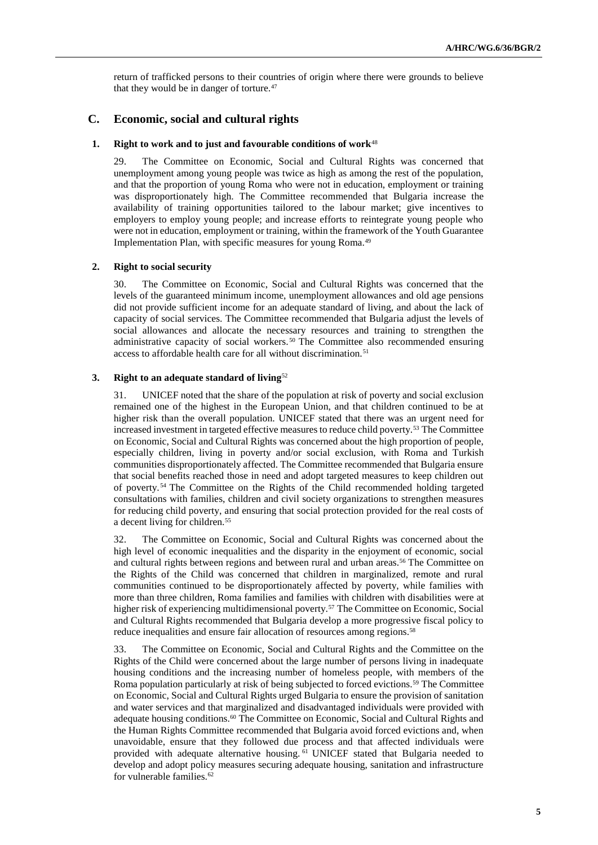return of trafficked persons to their countries of origin where there were grounds to believe that they would be in danger of torture.<sup>47</sup>

## **C. Economic, social and cultural rights**

#### **1. Right to work and to just and favourable conditions of work**<sup>48</sup>

29. The Committee on Economic, Social and Cultural Rights was concerned that unemployment among young people was twice as high as among the rest of the population, and that the proportion of young Roma who were not in education, employment or training was disproportionately high. The Committee recommended that Bulgaria increase the availability of training opportunities tailored to the labour market; give incentives to employers to employ young people; and increase efforts to reintegrate young people who were not in education, employment or training, within the framework of the Youth Guarantee Implementation Plan, with specific measures for young Roma.<sup>49</sup>

#### **2. Right to social security**

30. The Committee on Economic, Social and Cultural Rights was concerned that the levels of the guaranteed minimum income, unemployment allowances and old age pensions did not provide sufficient income for an adequate standard of living, and about the lack of capacity of social services. The Committee recommended that Bulgaria adjust the levels of social allowances and allocate the necessary resources and training to strengthen the administrative capacity of social workers. <sup>50</sup> The Committee also recommended ensuring access to affordable health care for all without discrimination.<sup>51</sup>

#### **3. Right to an adequate standard of living**<sup>52</sup>

31. UNICEF noted that the share of the population at risk of poverty and social exclusion remained one of the highest in the European Union, and that children continued to be at higher risk than the overall population. UNICEF stated that there was an urgent need for increased investment in targeted effective measures to reduce child poverty.<sup>53</sup> The Committee on Economic, Social and Cultural Rights was concerned about the high proportion of people, especially children, living in poverty and/or social exclusion, with Roma and Turkish communities disproportionately affected. The Committee recommended that Bulgaria ensure that social benefits reached those in need and adopt targeted measures to keep children out of poverty. <sup>54</sup> The Committee on the Rights of the Child recommended holding targeted consultations with families, children and civil society organizations to strengthen measures for reducing child poverty, and ensuring that social protection provided for the real costs of a decent living for children.<sup>55</sup>

32. The Committee on Economic, Social and Cultural Rights was concerned about the high level of economic inequalities and the disparity in the enjoyment of economic, social and cultural rights between regions and between rural and urban areas.<sup>56</sup> The Committee on the Rights of the Child was concerned that children in marginalized, remote and rural communities continued to be disproportionately affected by poverty, while families with more than three children, Roma families and families with children with disabilities were at higher risk of experiencing multidimensional poverty.<sup>57</sup> The Committee on Economic, Social and Cultural Rights recommended that Bulgaria develop a more progressive fiscal policy to reduce inequalities and ensure fair allocation of resources among regions.<sup>58</sup>

33. The Committee on Economic, Social and Cultural Rights and the Committee on the Rights of the Child were concerned about the large number of persons living in inadequate housing conditions and the increasing number of homeless people, with members of the Roma population particularly at risk of being subjected to forced evictions.<sup>59</sup> The Committee on Economic, Social and Cultural Rights urged Bulgaria to ensure the provision of sanitation and water services and that marginalized and disadvantaged individuals were provided with adequate housing conditions.<sup>60</sup> The Committee on Economic, Social and Cultural Rights and the Human Rights Committee recommended that Bulgaria avoid forced evictions and, when unavoidable, ensure that they followed due process and that affected individuals were provided with adequate alternative housing. <sup>61</sup> UNICEF stated that Bulgaria needed to develop and adopt policy measures securing adequate housing, sanitation and infrastructure for vulnerable families.<sup>62</sup>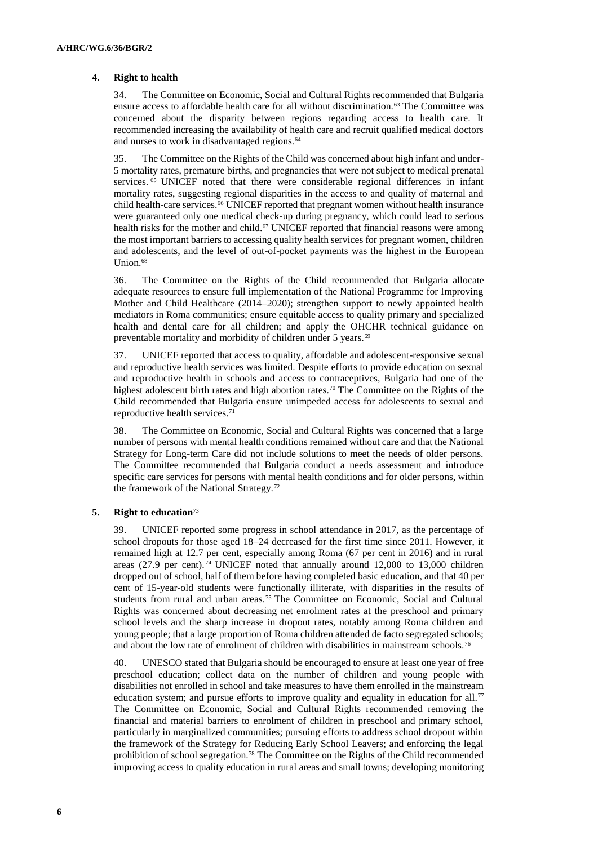## **4. Right to health**

34. The Committee on Economic, Social and Cultural Rights recommended that Bulgaria ensure access to affordable health care for all without discrimination.<sup>63</sup> The Committee was concerned about the disparity between regions regarding access to health care. It recommended increasing the availability of health care and recruit qualified medical doctors and nurses to work in disadvantaged regions.<sup>64</sup>

35. The Committee on the Rights of the Child was concerned about high infant and under-5 mortality rates, premature births, and pregnancies that were not subject to medical prenatal services. <sup>65</sup> UNICEF noted that there were considerable regional differences in infant mortality rates, suggesting regional disparities in the access to and quality of maternal and child health-care services.<sup>66</sup> UNICEF reported that pregnant women without health insurance were guaranteed only one medical check-up during pregnancy, which could lead to serious health risks for the mother and child.<sup>67</sup> UNICEF reported that financial reasons were among the most important barriers to accessing quality health services for pregnant women, children and adolescents, and the level of out-of-pocket payments was the highest in the European Union.<sup>68</sup>

36. The Committee on the Rights of the Child recommended that Bulgaria allocate adequate resources to ensure full implementation of the National Programme for Improving Mother and Child Healthcare (2014–2020); strengthen support to newly appointed health mediators in Roma communities; ensure equitable access to quality primary and specialized health and dental care for all children; and apply the OHCHR technical guidance on preventable mortality and morbidity of children under 5 years.<sup>69</sup>

37. UNICEF reported that access to quality, affordable and adolescent-responsive sexual and reproductive health services was limited. Despite efforts to provide education on sexual and reproductive health in schools and access to contraceptives, Bulgaria had one of the highest adolescent birth rates and high abortion rates.<sup>70</sup> The Committee on the Rights of the Child recommended that Bulgaria ensure unimpeded access for adolescents to sexual and reproductive health services.<sup>71</sup>

38. The Committee on Economic, Social and Cultural Rights was concerned that a large number of persons with mental health conditions remained without care and that the National Strategy for Long-term Care did not include solutions to meet the needs of older persons. The Committee recommended that Bulgaria conduct a needs assessment and introduce specific care services for persons with mental health conditions and for older persons, within the framework of the National Strategy.<sup>72</sup>

## **5. Right to education**<sup>73</sup>

39. UNICEF reported some progress in school attendance in 2017, as the percentage of school dropouts for those aged 18–24 decreased for the first time since 2011. However, it remained high at 12.7 per cent, especially among Roma (67 per cent in 2016) and in rural areas (27.9 per cent).<sup>74</sup> UNICEF noted that annually around 12,000 to 13,000 children dropped out of school, half of them before having completed basic education, and that 40 per cent of 15-year-old students were functionally illiterate, with disparities in the results of students from rural and urban areas.<sup>75</sup> The Committee on Economic, Social and Cultural Rights was concerned about decreasing net enrolment rates at the preschool and primary school levels and the sharp increase in dropout rates, notably among Roma children and young people; that a large proportion of Roma children attended de facto segregated schools; and about the low rate of enrolment of children with disabilities in mainstream schools.<sup>76</sup>

40. UNESCO stated that Bulgaria should be encouraged to ensure at least one year of free preschool education; collect data on the number of children and young people with disabilities not enrolled in school and take measures to have them enrolled in the mainstream education system; and pursue efforts to improve quality and equality in education for all.<sup>77</sup> The Committee on Economic, Social and Cultural Rights recommended removing the financial and material barriers to enrolment of children in preschool and primary school, particularly in marginalized communities; pursuing efforts to address school dropout within the framework of the Strategy for Reducing Early School Leavers; and enforcing the legal prohibition of school segregation.<sup>78</sup> The Committee on the Rights of the Child recommended improving access to quality education in rural areas and small towns; developing monitoring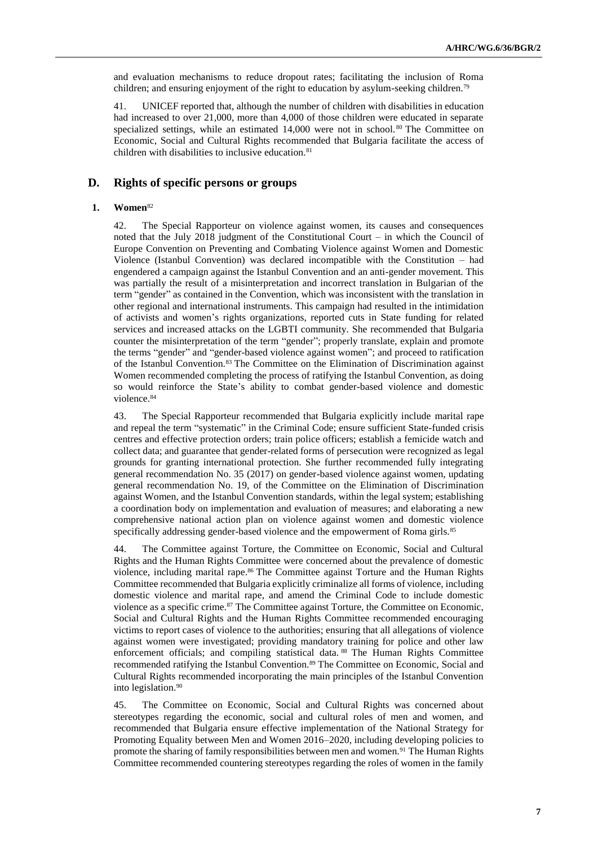and evaluation mechanisms to reduce dropout rates; facilitating the inclusion of Roma children; and ensuring enjoyment of the right to education by asylum-seeking children.<sup>79</sup>

41. UNICEF reported that, although the number of children with disabilities in education had increased to over 21,000, more than 4,000 of those children were educated in separate specialized settings, while an estimated  $14,000$  were not in school.<sup>80</sup> The Committee on Economic, Social and Cultural Rights recommended that Bulgaria facilitate the access of children with disabilities to inclusive education.<sup>81</sup>

## **D. Rights of specific persons or groups**

#### **1. Women**<sup>82</sup>

42. The Special Rapporteur on violence against women, its causes and consequences noted that the July 2018 judgment of the Constitutional Court – in which the Council of Europe Convention on Preventing and Combating Violence against Women and Domestic Violence (Istanbul Convention) was declared incompatible with the Constitution – had engendered a campaign against the Istanbul Convention and an anti-gender movement. This was partially the result of a misinterpretation and incorrect translation in Bulgarian of the term "gender" as contained in the Convention, which was inconsistent with the translation in other regional and international instruments. This campaign had resulted in the intimidation of activists and women's rights organizations, reported cuts in State funding for related services and increased attacks on the LGBTI community. She recommended that Bulgaria counter the misinterpretation of the term "gender"; properly translate, explain and promote the terms "gender" and "gender-based violence against women"; and proceed to ratification of the Istanbul Convention.<sup>83</sup> The Committee on the Elimination of Discrimination against Women recommended completing the process of ratifying the Istanbul Convention, as doing so would reinforce the State's ability to combat gender-based violence and domestic violence. 84

43. The Special Rapporteur recommended that Bulgaria explicitly include marital rape and repeal the term "systematic" in the Criminal Code; ensure sufficient State-funded crisis centres and effective protection orders; train police officers; establish a femicide watch and collect data; and guarantee that gender-related forms of persecution were recognized as legal grounds for granting international protection. She further recommended fully integrating general recommendation No. 35 (2017) on gender-based violence against women, updating general recommendation No. 19, of the Committee on the Elimination of Discrimination against Women, and the Istanbul Convention standards, within the legal system; establishing a coordination body on implementation and evaluation of measures; and elaborating a new comprehensive national action plan on violence against women and domestic violence specifically addressing gender-based violence and the empowerment of Roma girls.<sup>85</sup>

44. The Committee against Torture, the Committee on Economic, Social and Cultural Rights and the Human Rights Committee were concerned about the prevalence of domestic violence, including marital rape.<sup>86</sup> The Committee against Torture and the Human Rights Committee recommended that Bulgaria explicitly criminalize all forms of violence, including domestic violence and marital rape, and amend the Criminal Code to include domestic violence as a specific crime.<sup>87</sup> The Committee against Torture, the Committee on Economic, Social and Cultural Rights and the Human Rights Committee recommended encouraging victims to report cases of violence to the authorities; ensuring that all allegations of violence against women were investigated; providing mandatory training for police and other law enforcement officials; and compiling statistical data. <sup>88</sup> The Human Rights Committee recommended ratifying the Istanbul Convention.<sup>89</sup> The Committee on Economic, Social and Cultural Rights recommended incorporating the main principles of the Istanbul Convention into legislation.<sup>90</sup>

45. The Committee on Economic, Social and Cultural Rights was concerned about stereotypes regarding the economic, social and cultural roles of men and women, and recommended that Bulgaria ensure effective implementation of the National Strategy for Promoting Equality between Men and Women 2016–2020, including developing policies to promote the sharing of family responsibilities between men and women.<sup>91</sup> The Human Rights Committee recommended countering stereotypes regarding the roles of women in the family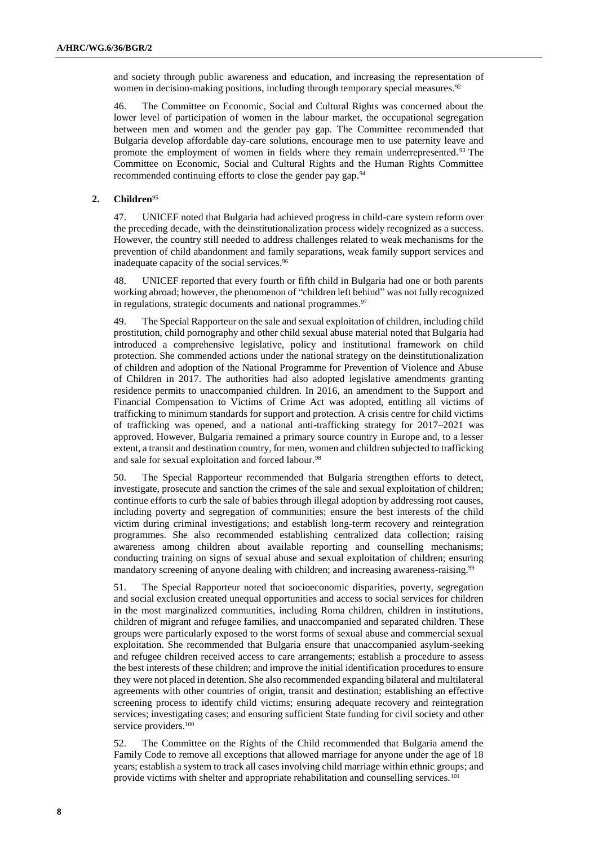and society through public awareness and education, and increasing the representation of women in decision-making positions, including through temporary special measures.<sup>92</sup>

46. The Committee on Economic, Social and Cultural Rights was concerned about the lower level of participation of women in the labour market, the occupational segregation between men and women and the gender pay gap. The Committee recommended that Bulgaria develop affordable day-care solutions, encourage men to use paternity leave and promote the employment of women in fields where they remain underrepresented. <sup>93</sup> The Committee on Economic, Social and Cultural Rights and the Human Rights Committee recommended continuing efforts to close the gender pay gap.<sup>94</sup>

## **2. Children**<sup>95</sup>

47. UNICEF noted that Bulgaria had achieved progress in child-care system reform over the preceding decade, with the deinstitutionalization process widely recognized as a success. However, the country still needed to address challenges related to weak mechanisms for the prevention of child abandonment and family separations, weak family support services and inadequate capacity of the social services.<sup>96</sup>

48. UNICEF reported that every fourth or fifth child in Bulgaria had one or both parents working abroad; however, the phenomenon of "children left behind" was not fully recognized in regulations, strategic documents and national programmes.<sup>97</sup>

49. The Special Rapporteur on the sale and sexual exploitation of children, including child prostitution, child pornography and other child sexual abuse material noted that Bulgaria had introduced a comprehensive legislative, policy and institutional framework on child protection. She commended actions under the national strategy on the deinstitutionalization of children and adoption of the National Programme for Prevention of Violence and Abuse of Children in 2017. The authorities had also adopted legislative amendments granting residence permits to unaccompanied children. In 2016, an amendment to the Support and Financial Compensation to Victims of Crime Act was adopted, entitling all victims of trafficking to minimum standards for support and protection. A crisis centre for child victims of trafficking was opened, and a national anti-trafficking strategy for 2017–2021 was approved. However, Bulgaria remained a primary source country in Europe and, to a lesser extent, a transit and destination country, for men, women and children subjected to trafficking and sale for sexual exploitation and forced labour.<sup>98</sup>

50. The Special Rapporteur recommended that Bulgaria strengthen efforts to detect, investigate, prosecute and sanction the crimes of the sale and sexual exploitation of children; continue efforts to curb the sale of babies through illegal adoption by addressing root causes, including poverty and segregation of communities; ensure the best interests of the child victim during criminal investigations; and establish long-term recovery and reintegration programmes. She also recommended establishing centralized data collection; raising awareness among children about available reporting and counselling mechanisms; conducting training on signs of sexual abuse and sexual exploitation of children; ensuring mandatory screening of anyone dealing with children; and increasing awareness-raising.<sup>99</sup>

51. The Special Rapporteur noted that socioeconomic disparities, poverty, segregation and social exclusion created unequal opportunities and access to social services for children in the most marginalized communities, including Roma children, children in institutions, children of migrant and refugee families, and unaccompanied and separated children. These groups were particularly exposed to the worst forms of sexual abuse and commercial sexual exploitation. She recommended that Bulgaria ensure that unaccompanied asylum-seeking and refugee children received access to care arrangements; establish a procedure to assess the best interests of these children; and improve the initial identification procedures to ensure they were not placed in detention. She also recommended expanding bilateral and multilateral agreements with other countries of origin, transit and destination; establishing an effective screening process to identify child victims; ensuring adequate recovery and reintegration services; investigating cases; and ensuring sufficient State funding for civil society and other service providers.<sup>100</sup>

52. The Committee on the Rights of the Child recommended that Bulgaria amend the Family Code to remove all exceptions that allowed marriage for anyone under the age of 18 years; establish a system to track all cases involving child marriage within ethnic groups; and provide victims with shelter and appropriate rehabilitation and counselling services.<sup>101</sup>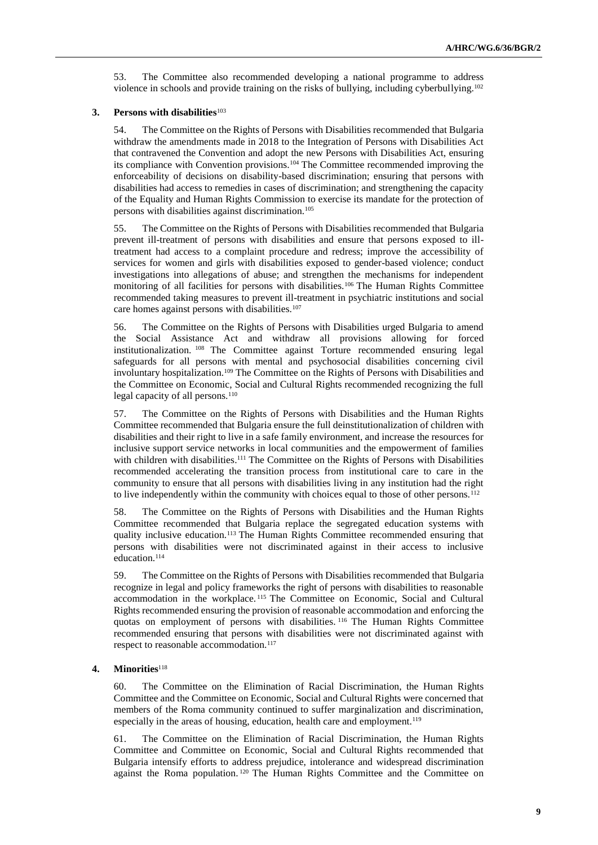53. The Committee also recommended developing a national programme to address violence in schools and provide training on the risks of bullying, including cyberbullying.<sup>102</sup>

## **3. Persons with disabilities**<sup>103</sup>

54. The Committee on the Rights of Persons with Disabilities recommended that Bulgaria withdraw the amendments made in 2018 to the Integration of Persons with Disabilities Act that contravened the Convention and adopt the new Persons with Disabilities Act, ensuring its compliance with Convention provisions.<sup>104</sup> The Committee recommended improving the enforceability of decisions on disability-based discrimination; ensuring that persons with disabilities had access to remedies in cases of discrimination; and strengthening the capacity of the Equality and Human Rights Commission to exercise its mandate for the protection of persons with disabilities against discrimination.<sup>105</sup>

55. The Committee on the Rights of Persons with Disabilities recommended that Bulgaria prevent ill-treatment of persons with disabilities and ensure that persons exposed to illtreatment had access to a complaint procedure and redress; improve the accessibility of services for women and girls with disabilities exposed to gender-based violence; conduct investigations into allegations of abuse; and strengthen the mechanisms for independent monitoring of all facilities for persons with disabilities.<sup>106</sup> The Human Rights Committee recommended taking measures to prevent ill-treatment in psychiatric institutions and social care homes against persons with disabilities.<sup>107</sup>

56. The Committee on the Rights of Persons with Disabilities urged Bulgaria to amend the Social Assistance Act and withdraw all provisions allowing for forced institutionalization. <sup>108</sup> The Committee against Torture recommended ensuring legal safeguards for all persons with mental and psychosocial disabilities concerning civil involuntary hospitalization.<sup>109</sup> The Committee on the Rights of Persons with Disabilities and the Committee on Economic, Social and Cultural Rights recommended recognizing the full legal capacity of all persons.<sup>110</sup>

57. The Committee on the Rights of Persons with Disabilities and the Human Rights Committee recommended that Bulgaria ensure the full deinstitutionalization of children with disabilities and their right to live in a safe family environment, and increase the resources for inclusive support service networks in local communities and the empowerment of families with children with disabilities.<sup>111</sup> The Committee on the Rights of Persons with Disabilities recommended accelerating the transition process from institutional care to care in the community to ensure that all persons with disabilities living in any institution had the right to live independently within the community with choices equal to those of other persons.<sup>112</sup>

58. The Committee on the Rights of Persons with Disabilities and the Human Rights Committee recommended that Bulgaria replace the segregated education systems with quality inclusive education.<sup>113</sup> The Human Rights Committee recommended ensuring that persons with disabilities were not discriminated against in their access to inclusive education.<sup>114</sup>

59. The Committee on the Rights of Persons with Disabilities recommended that Bulgaria recognize in legal and policy frameworks the right of persons with disabilities to reasonable accommodation in the workplace. <sup>115</sup> The Committee on Economic, Social and Cultural Rights recommended ensuring the provision of reasonable accommodation and enforcing the quotas on employment of persons with disabilities. <sup>116</sup> The Human Rights Committee recommended ensuring that persons with disabilities were not discriminated against with respect to reasonable accommodation.<sup>117</sup>

#### **4. Minorities**<sup>118</sup>

60. The Committee on the Elimination of Racial Discrimination, the Human Rights Committee and the Committee on Economic, Social and Cultural Rights were concerned that members of the Roma community continued to suffer marginalization and discrimination, especially in the areas of housing, education, health care and employment.<sup>119</sup>

61. The Committee on the Elimination of Racial Discrimination, the Human Rights Committee and Committee on Economic, Social and Cultural Rights recommended that Bulgaria intensify efforts to address prejudice, intolerance and widespread discrimination against the Roma population. <sup>120</sup> The Human Rights Committee and the Committee on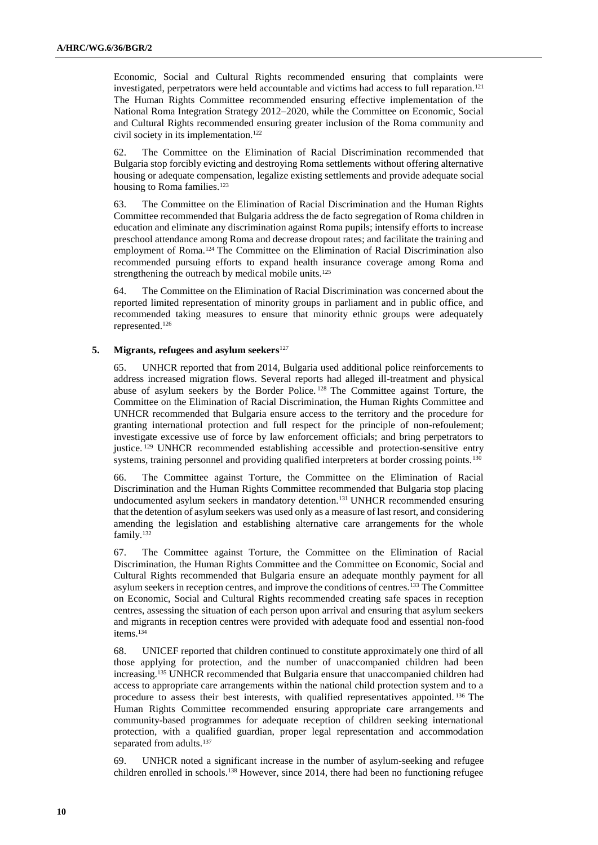Economic, Social and Cultural Rights recommended ensuring that complaints were investigated, perpetrators were held accountable and victims had access to full reparation.<sup>121</sup> The Human Rights Committee recommended ensuring effective implementation of the National Roma Integration Strategy 2012–2020, while the Committee on Economic, Social and Cultural Rights recommended ensuring greater inclusion of the Roma community and civil society in its implementation.<sup>122</sup>

62. The Committee on the Elimination of Racial Discrimination recommended that Bulgaria stop forcibly evicting and destroying Roma settlements without offering alternative housing or adequate compensation, legalize existing settlements and provide adequate social housing to Roma families.<sup>123</sup>

63. The Committee on the Elimination of Racial Discrimination and the Human Rights Committee recommended that Bulgaria address the de facto segregation of Roma children in education and eliminate any discrimination against Roma pupils; intensify efforts to increase preschool attendance among Roma and decrease dropout rates; and facilitate the training and employment of Roma.<sup>124</sup> The Committee on the Elimination of Racial Discrimination also recommended pursuing efforts to expand health insurance coverage among Roma and strengthening the outreach by medical mobile units.<sup>125</sup>

64. The Committee on the Elimination of Racial Discrimination was concerned about the reported limited representation of minority groups in parliament and in public office, and recommended taking measures to ensure that minority ethnic groups were adequately represented.<sup>126</sup>

## **5. Migrants, refugees and asylum seekers**<sup>127</sup>

65. UNHCR reported that from 2014, Bulgaria used additional police reinforcements to address increased migration flows. Several reports had alleged ill-treatment and physical abuse of asylum seekers by the Border Police. <sup>128</sup> The Committee against Torture, the Committee on the Elimination of Racial Discrimination, the Human Rights Committee and UNHCR recommended that Bulgaria ensure access to the territory and the procedure for granting international protection and full respect for the principle of non-refoulement; investigate excessive use of force by law enforcement officials; and bring perpetrators to justice. <sup>129</sup> UNHCR recommended establishing accessible and protection-sensitive entry systems, training personnel and providing qualified interpreters at border crossing points.<sup>130</sup>

66. The Committee against Torture, the Committee on the Elimination of Racial Discrimination and the Human Rights Committee recommended that Bulgaria stop placing undocumented asylum seekers in mandatory detention.<sup>131</sup> UNHCR recommended ensuring that the detention of asylum seekers was used only as a measure of last resort, and considering amending the legislation and establishing alternative care arrangements for the whole family.<sup>132</sup>

67. The Committee against Torture, the Committee on the Elimination of Racial Discrimination, the Human Rights Committee and the Committee on Economic, Social and Cultural Rights recommended that Bulgaria ensure an adequate monthly payment for all asylum seekers in reception centres, and improve the conditions of centres.<sup>133</sup> The Committee on Economic, Social and Cultural Rights recommended creating safe spaces in reception centres, assessing the situation of each person upon arrival and ensuring that asylum seekers and migrants in reception centres were provided with adequate food and essential non-food items.<sup>134</sup>

68. UNICEF reported that children continued to constitute approximately one third of all those applying for protection, and the number of unaccompanied children had been increasing.<sup>135</sup> UNHCR recommended that Bulgaria ensure that unaccompanied children had access to appropriate care arrangements within the national child protection system and to a procedure to assess their best interests, with qualified representatives appointed. <sup>136</sup> The Human Rights Committee recommended ensuring appropriate care arrangements and community-based programmes for adequate reception of children seeking international protection, with a qualified guardian, proper legal representation and accommodation separated from adults.<sup>137</sup>

69. UNHCR noted a significant increase in the number of asylum-seeking and refugee children enrolled in schools.<sup>138</sup> However, since 2014, there had been no functioning refugee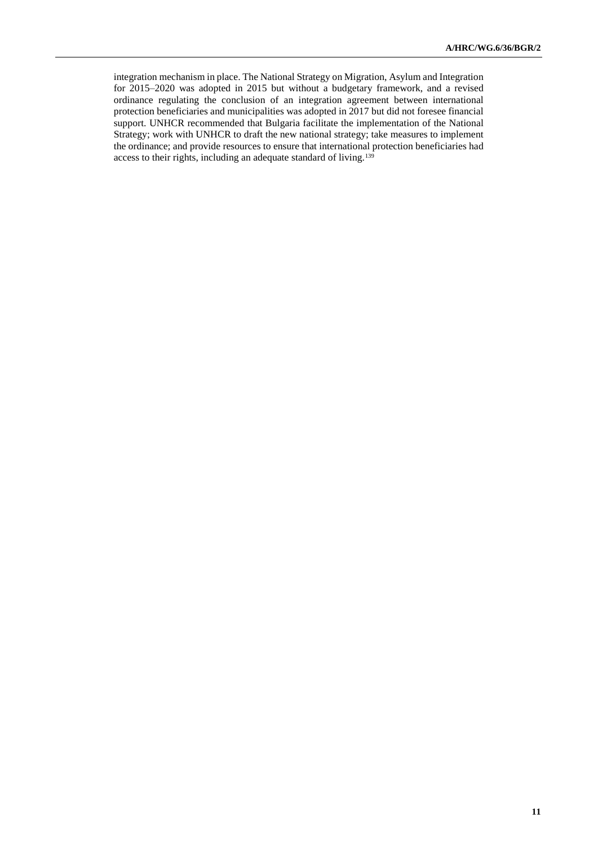integration mechanism in place. The National Strategy on Migration, Asylum and Integration for 2015–2020 was adopted in 2015 but without a budgetary framework, and a revised ordinance regulating the conclusion of an integration agreement between international protection beneficiaries and municipalities was adopted in 2017 but did not foresee financial support. UNHCR recommended that Bulgaria facilitate the implementation of the National Strategy; work with UNHCR to draft the new national strategy; take measures to implement the ordinance; and provide resources to ensure that international protection beneficiaries had access to their rights, including an adequate standard of living.139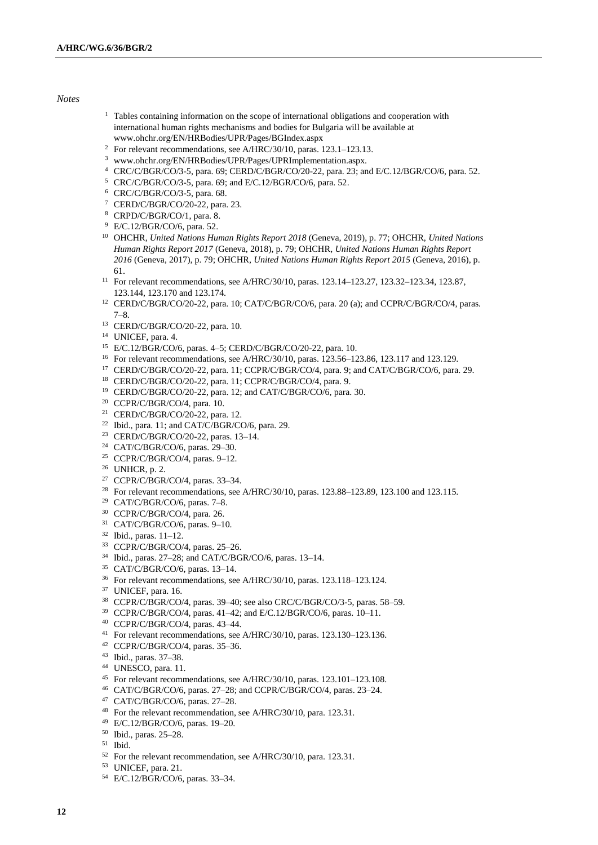#### *Notes*

- <sup>1</sup> Tables containing information on the scope of international obligations and cooperation with international human rights mechanisms and bodies for Bulgaria will be available at www.ohchr.org/EN/HRBodies/UPR/Pages/BGIndex.aspx
- <sup>2</sup> For relevant recommendations, see A/HRC/30/10, paras. 123.1–123.13.
- www.ohchr.org/EN/HRBodies/UPR/Pages/UPRImplementation.aspx.
- CRC/C/BGR/CO/3-5, para. 69; CERD/C/BGR/CO/20-22, para. 23; and E/C.12/BGR/CO/6, para. 52.
- CRC/C/BGR/CO/3-5, para. 69; and E/C.12/BGR/CO/6, para. 52.
- CRC/C/BGR/CO/3-5, para. 68.
- CERD/C/BGR/CO/20-22, para. 23.
- CRPD/C/BGR/CO/1, para. 8.
- E/C.12/BGR/CO/6, para. 52.
- OHCHR, *United Nations Human Rights Report 2018* (Geneva, 2019), p. 77; OHCHR, *United Nations Human Rights Report 2017* (Geneva, 2018), p. 79; OHCHR, *United Nations Human Rights Report* (Geneva, 2017), p. 79; OHCHR, *United Nations Human Rights Report 2015* (Geneva, 2016), p. 61.
- For relevant recommendations, see A/HRC/30/10, paras. 123.14–123.27, 123.32–123.34, 123.87, 123.144, 123.170 and 123.174.
- CERD/C/BGR/CO/20-22, para. 10; CAT/C/BGR/CO/6, para. 20 (a); and CCPR/C/BGR/CO/4, paras. 7–8.
- CERD/C/BGR/CO/20-22, para. 10.
- UNICEF, para. 4.
- E/C.12/BGR/CO/6, paras. 4–5; CERD/C/BGR/CO/20-22, para. 10.
- For relevant recommendations, see A/HRC/30/10, paras. 123.56–123.86, 123.117 and 123.129.
- CERD/C/BGR/CO/20-22, para. 11; CCPR/C/BGR/CO/4, para. 9; and CAT/C/BGR/CO/6, para. 29.
- CERD/C/BGR/CO/20-22, para. 11; CCPR/C/BGR/CO/4, para. 9.
- CERD/C/BGR/CO/20-22, para. 12; and CAT/C/BGR/CO/6, para. 30.
- CCPR/C/BGR/CO/4, para. 10.
- CERD/C/BGR/CO/20-22, para. 12.
- <sup>22</sup> Ibid., para. 11; and CAT/C/BGR/CO/6, para. 29.
- CERD/C/BGR/CO/20-22, paras. 13–14.
- CAT/C/BGR/CO/6, paras. 29–30.
- CCPR/C/BGR/CO/4, paras. 9–12.
- UNHCR, p. 2.
- CCPR/C/BGR/CO/4, paras. 33–34.
- For relevant recommendations, see A/HRC/30/10, paras. 123.88–123.89, 123.100 and 123.115.
- CAT/C/BGR/CO/6, paras. 7–8.
- CCPR/C/BGR/CO/4, para. 26.
- CAT/C/BGR/CO/6, paras. 9–10.
- Ibid., paras. 11–12.
- CCPR/C/BGR/CO/4, paras. 25–26.
- Ibid., paras. 27–28; and CAT/C/BGR/CO/6, paras. 13–14.
- CAT/C/BGR/CO/6, paras. 13–14.
- For relevant recommendations, see A/HRC/30/10, paras. 123.118–123.124.
- UNICEF, para. 16.
- CCPR/C/BGR/CO/4, paras. 39–40; see also CRC/C/BGR/CO/3-5, paras. 58–59.
- CCPR/C/BGR/CO/4, paras. 41–42; and E/C.12/BGR/CO/6, paras. 10–11.
- CCPR/C/BGR/CO/4, paras. 43–44.
- <sup>41</sup> For relevant recommendations, see A/HRC/30/10, paras. 123.130–123.136.
- CCPR/C/BGR/CO/4, paras. 35–36.
- Ibid., paras. 37–38.
- UNESCO, para. 11.
- For relevant recommendations, see A/HRC/30/10, paras. 123.101–123.108.
- CAT/C/BGR/CO/6, paras. 27–28; and CCPR/C/BGR/CO/4, paras. 23–24.
- CAT/C/BGR/CO/6, paras. 27–28.
- For the relevant recommendation, see A/HRC/30/10, para. 123.31.
- E/C.12/BGR/CO/6, paras. 19–20.
- Ibid., paras. 25–28.
- Ibid.
- For the relevant recommendation, see A/HRC/30/10, para. 123.31.
- UNICEF, para. 21.
- E/C.12/BGR/CO/6, paras. 33–34.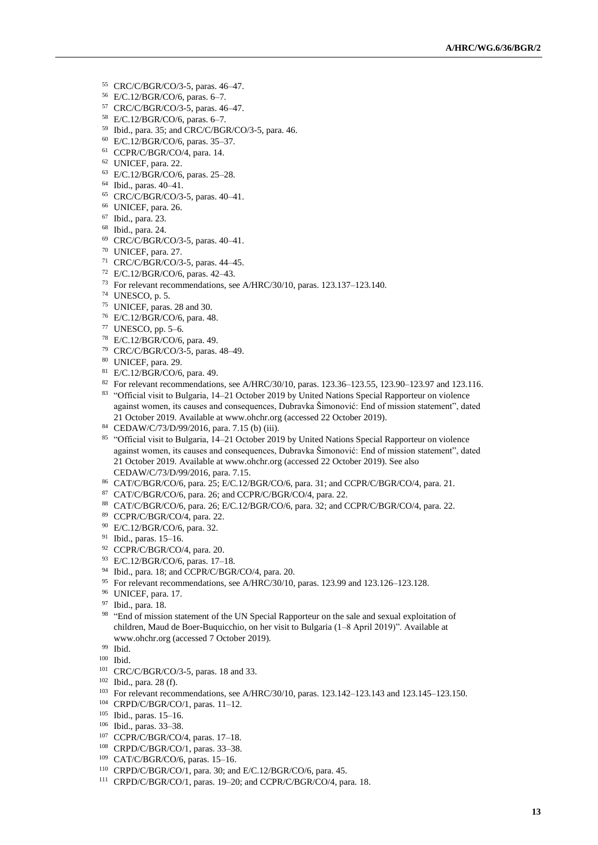- CRC/C/BGR/CO/3-5, paras. 46–47.
- E/C.12/BGR/CO/6, paras. 6–7.
- CRC/C/BGR/CO/3-5, paras. 46–47.
- E/C.12/BGR/CO/6, paras. 6–7.
- Ibid., para. 35; and CRC/C/BGR/CO/3-5, para. 46.
- E/C.12/BGR/CO/6, paras. 35–37.
- CCPR/C/BGR/CO/4, para. 14.
- UNICEF, para. 22.
- E/C.12/BGR/CO/6, paras. 25–28.
- Ibid., paras. 40–41.
- CRC/C/BGR/CO/3-5, paras. 40–41.
- UNICEF, para. 26.
- Ibid., para. 23.
- Ibid., para. 24.
- CRC/C/BGR/CO/3-5, paras. 40–41.
- UNICEF, para. 27.
- CRC/C/BGR/CO/3-5, paras. 44–45.
- E/C.12/BGR/CO/6, paras. 42–43.
- For relevant recommendations, see A/HRC/30/10, paras. 123.137–123.140.
- UNESCO, p. 5.
- UNICEF, paras. 28 and 30.
- E/C.12/BGR/CO/6, para. 48.
- UNESCO, pp. 5–6.
- E/C.12/BGR/CO/6, para. 49.
- CRC/C/BGR/CO/3-5, paras. 48–49.
- UNICEF, para. 29.
- E/C.12/BGR/CO/6, para. 49.
- For relevant recommendations, see A/HRC/30/10, paras. 123.36–123.55, 123.90–123.97 and 123.116. 83 "Official visit to Bulgaria, 14–21 October 2019 by United Nations Special Rapporteur on violence against women, its causes and consequences, Dubravka Šimonović: End of mission statement", dated 21 October 2019. Available a[t www.ohchr.org](http://www.ohchr.org/) (accessed 22 October 2019).
- CEDAW/C/73/D/99/2016, para. 7.15 (b) (iii).
- 85 "Official visit to Bulgaria, 14–21 October 2019 by United Nations Special Rapporteur on violence against women, its causes and consequences, Dubravka Šimonović: End of mission statement", dated 21 October 2019. Available a[t www.ohchr.org](http://www.ohchr.org/) (accessed 22 October 2019). See also CEDAW/C/73/D/99/2016, para. 7.15.
- CAT/C/BGR/CO/6, para. 25; E/C.12/BGR/CO/6, para. 31; and CCPR/C/BGR/CO/4, para. 21.
- CAT/C/BGR/CO/6, para. 26; and CCPR/C/BGR/CO/4, para. 22.
- CAT/C/BGR/CO/6, para. 26; E/C.12/BGR/CO/6, para. 32; and CCPR/C/BGR/CO/4, para. 22.
- CCPR/C/BGR/CO/4, para. 22.
- E/C.12/BGR/CO/6, para. 32.
- Ibid., paras. 15–16.
- CCPR/C/BGR/CO/4, para. 20.
- E/C.12/BGR/CO/6, paras. 17–18.
- <sup>94</sup> Ibid., para. 18; and CCPR/C/BGR/CO/4, para. 20.
- For relevant recommendations, see A/HRC/30/10, paras. 123.99 and 123.126–123.128.
- UNICEF, para. 17.
- Ibid., para. 18.
- <sup>98</sup> "End of mission statement of the UN Special Rapporteur on the sale and sexual exploitation of children, Maud de Boer-Buquicchio, on her visit to Bulgaria (1–8 April 2019)". Available at www.ohchr.org (accessed 7 October 2019).
- Ibid.

- CRC/C/BGR/CO/3-5, paras. 18 and 33.
- Ibid., para. 28 (f).
- For relevant recommendations, see A/HRC/30/10, paras. 123.142–123.143 and 123.145–123.150.
- CRPD/C/BGR/CO/1, paras. 11–12.
- Ibid., paras. 15–16.
- Ibid., paras. 33–38.
- CCPR/C/BGR/CO/4, paras. 17–18.
- CRPD/C/BGR/CO/1, paras. 33–38.
- CAT/C/BGR/CO/6, paras. 15–16.
- CRPD/C/BGR/CO/1, para. 30; and E/C.12/BGR/CO/6, para. 45.
- CRPD/C/BGR/CO/1, paras. 19–20; and CCPR/C/BGR/CO/4, para. 18.

Ibid.